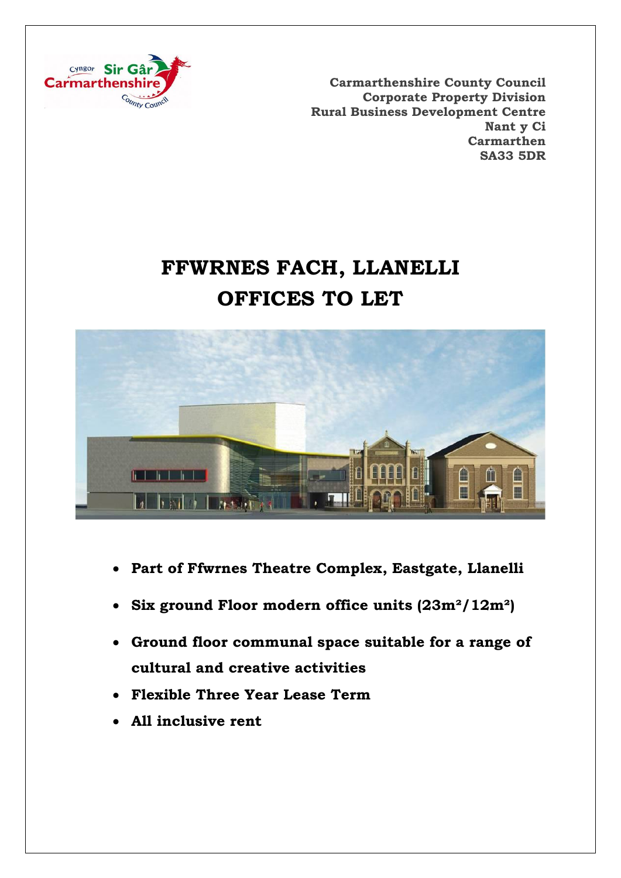

**Carmarthenshire County Council Corporate Property Division Rural Business Development Centre Nant y Ci Carmarthen SA33 5DR**

# **FFWRNES FACH, LLANELLI OFFICES TO LET**



- **Part of Ffwrnes Theatre Complex, Eastgate, Llanelli**
- **Six ground Floor modern office units (23m²/12m²)**
- **Ground floor communal space suitable for a range of cultural and creative activities**
- **Flexible Three Year Lease Term**
- **All inclusive rent**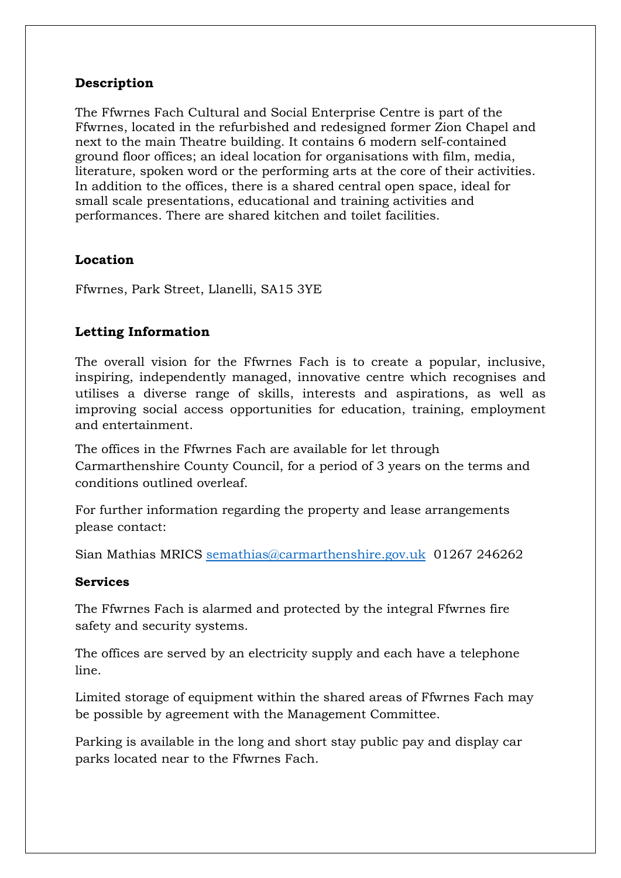# **Description**

The Ffwrnes Fach Cultural and Social Enterprise Centre is part of the Ffwrnes, located in the refurbished and redesigned former Zion Chapel and next to the main Theatre building. It contains 6 modern self-contained ground floor offices; an ideal location for organisations with film, media, literature, spoken word or the performing arts at the core of their activities. In addition to the offices, there is a shared central open space, ideal for small scale presentations, educational and training activities and performances. There are shared kitchen and toilet facilities.

### **Location**

Ffwrnes, Park Street, Llanelli, SA15 3YE

### **Letting Information**

The overall vision for the Ffwrnes Fach is to create a popular, inclusive, inspiring, independently managed, innovative centre which recognises and utilises a diverse range of skills, interests and aspirations, as well as improving social access opportunities for education, training, employment and entertainment.

The offices in the Ffwrnes Fach are available for let through Carmarthenshire County Council, for a period of 3 years on the terms and conditions outlined overleaf.

For further information regarding the property and lease arrangements please contact:

Sian Mathias MRICS [semathias@carmarthenshire.gov.uk](mailto:semathias@carmarthenshire.gov.uk) 01267 246262

#### **Services**

The Ffwrnes Fach is alarmed and protected by the integral Ffwrnes fire safety and security systems.

The offices are served by an electricity supply and each have a telephone line.

Limited storage of equipment within the shared areas of Ffwrnes Fach may be possible by agreement with the Management Committee.

Parking is available in the long and short stay public pay and display car parks located near to the Ffwrnes Fach.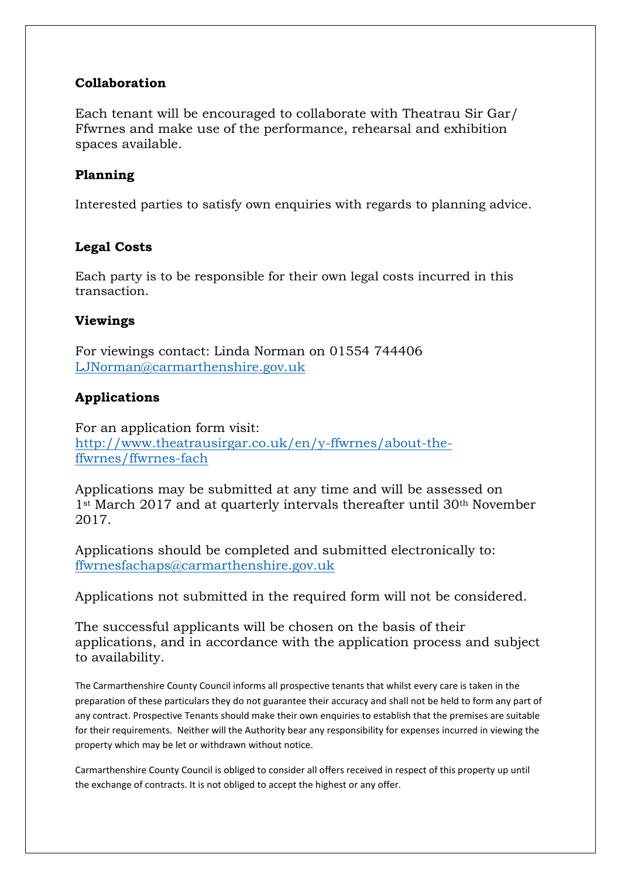# **Collaboration**

Each tenant will be encouraged to collaborate with Theatrau Sir Gar/ Ffwrnes and make use of the performance, rehearsal and exhibition spaces available.

# **Planning**

Interested parties to satisfy own enquiries with regards to planning advice.

# **Legal Costs**

Each party is to be responsible for their own legal costs incurred in this transaction.

### **Viewings**

For viewings contact: Linda Norman on 01554 744406 [LJNorman@carmarthenshire.gov.uk](mailto:LJNorman@carmarthenshire.gov.uk)

# **Applications**

For an application form visit: [http://www.theatrausirgar.co.uk/en/y-ffwrnes/about-the](http://www.theatrausirgar.co.uk/en/y-ffwrnes/about-the-ffwrnes/ffwrnes-fach)[ffwrnes/ffwrnes-fach](http://www.theatrausirgar.co.uk/en/y-ffwrnes/about-the-ffwrnes/ffwrnes-fach)

Applications may be submitted at any time and will be assessed on 1<sup>st</sup> March 2017 and at quarterly intervals thereafter until 30<sup>th</sup> November 2017.

Applications should be completed and submitted electronically to: [ffwrnesfachaps@carmarthenshire.gov.uk](mailto:ffwrnesfachaps@carmarthenshire.gov.uk)

Applications not submitted in the required form will not be considered.

The successful applicants will be chosen on the basis of their applications, and in accordance with the application process and subject to availability.

The Carmarthenshire County Council informs all prospective tenants that whilst every care is taken in the preparation of these particulars they do not guarantee their accuracy and shall not be held to form any part of any contract. Prospective Tenants should make their own enquiries to establish that the premises are suitable for their requirements. Neither will the Authority bear any responsibility for expenses incurred in viewing the property which may be let or withdrawn without notice.

Carmarthenshire County Council is obliged to consider all offers received in respect of this property up until the exchange of contracts. It is not obliged to accept the highest or any offer.